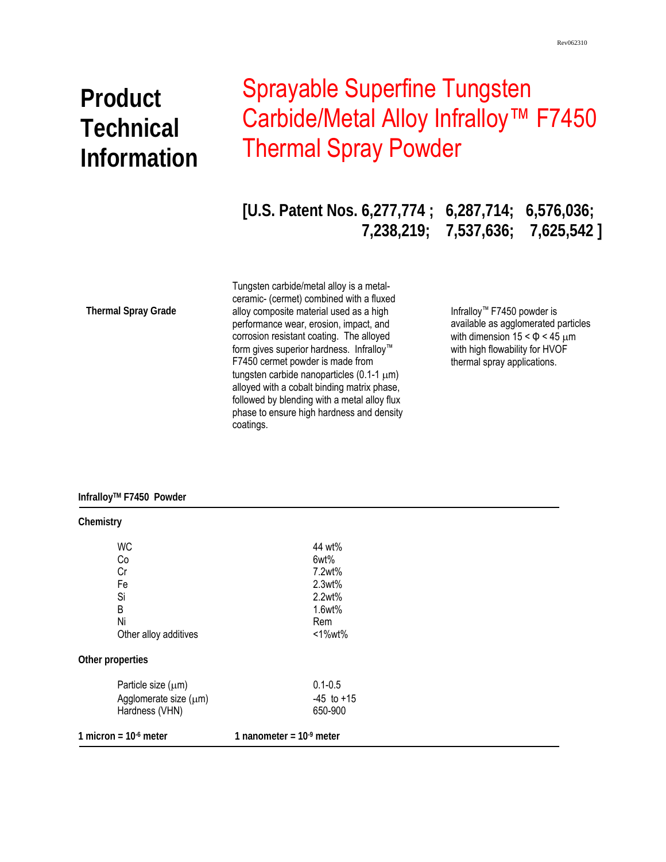# **Product Technical Information**

# Sprayable Superfine Tungsten Carbide/Metal Alloy Infralloy<sup>™</sup> F7450 Thermal Spray Powder

**[U.S. Patent Nos. 6,277,774 ; 6,287,714; 6,576,036; 7,238,219; 7,537,636; 7,625,542 ]** 

**Thermal Spray Grade** 

 phase to ensure high hardness and density Tungsten carbide/metal alloy is a metalceramic- (cermet) combined with a fluxed alloy composite material used as a high performance wear, erosion, impact, and corrosion resistant coating. The alloyed form gives superior hardness. Infralloy™ F7450 cermet powder is made from tungsten carbide nanoparticles (0.1-1 μm) alloyed with a cobalt binding matrix phase, followed by blending with a metal alloy flux coatings.

Infralloy™ F7450 powder is available as agglomerated particles with dimension  $15 < \Phi < 45 \mu m$ with high flowability for HVOF thermal spray applications.

### **InfralloyTM F7450 Powder**

| Chemistry               |                           |
|-------------------------|---------------------------|
| <b>WC</b>               | 44 wt%                    |
| Co                      | 6wt%                      |
| Cr                      | 7.2wt%                    |
| Fe                      | 2.3wt%                    |
| Si                      | 2.2wt%                    |
| B                       | 1.6wt%                    |
| Ni                      | Rem                       |
| Other alloy additives   | <1%wt%                    |
| Other properties        |                           |
| Particle size $(\mu m)$ | $0.1 - 0.5$               |
| Agglomerate size (µm)   | $-45$ to $+15$            |
| Hardness (VHN)          | 650-900                   |
| 1 micron = $106$ meter  | 1 nanometer = $109$ meter |